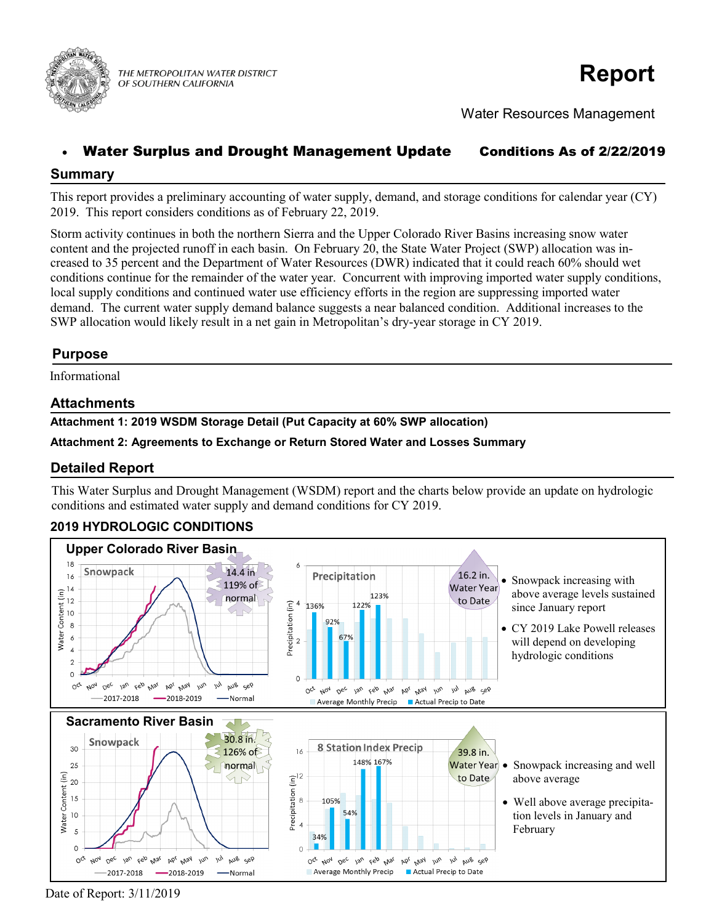

THE METROPOLITAN WATER DISTRICT OF SOUTHERN CALIFORNIA

# **Report**

Water Resources Management

# Water Surplus and Drought Management Update Conditions As of 2/22/2019

## **Summary**

This report provides a preliminary accounting of water supply, demand, and storage conditions for calendar year (CY) 2019. This report considers conditions as of February 22, 2019.

Storm activity continues in both the northern Sierra and the Upper Colorado River Basins increasing snow water content and the projected runoff in each basin. On February 20, the State Water Project (SWP) allocation was increased to 35 percent and the Department of Water Resources (DWR) indicated that it could reach 60% should wet conditions continue for the remainder of the water year. Concurrent with improving imported water supply conditions, local supply conditions and continued water use efficiency efforts in the region are suppressing imported water demand. The current water supply demand balance suggests a near balanced condition. Additional increases to the SWP allocation would likely result in a net gain in Metropolitan's dry-year storage in CY 2019.

## **Purpose**

Informational

## **Attachments**

**Attachment 1: 2019 WSDM Storage Detail (Put Capacity at 60% SWP allocation)**

#### **Attachment 2: Agreements to Exchange or Return Stored Water and Losses Summary**

### **Detailed Report**

This Water Surplus and Drought Management (WSDM) report and the charts below provide an update on hydrologic conditions and estimated water supply and demand conditions for CY 2019.

# **2019 HYDROLOGIC CONDITIONS**



Date of Report: 3/11/2019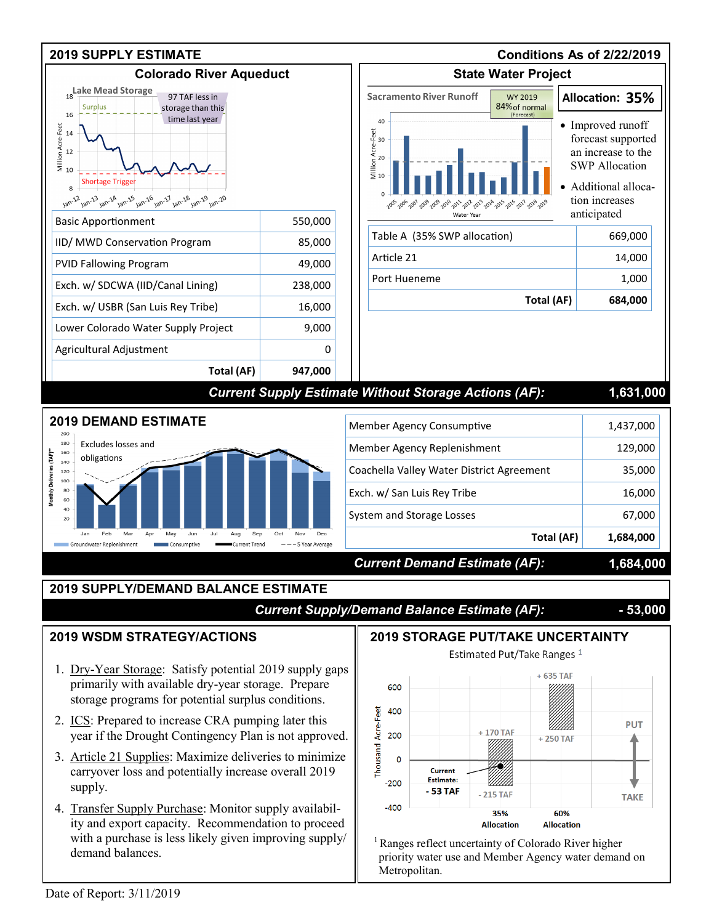

 $<sup>1</sup>$  Ranges reflect uncertainty of Colorado River higher</sup> priority water use and Member Agency water demand on

35%

**Allocation** 

60%

**Allocation** 

Metropolitan.

4. Transfer Supply Purchase: Monitor supply availability and export capacity. Recommendation to proceed with a purchase is less likely given improving supply/ demand balances.

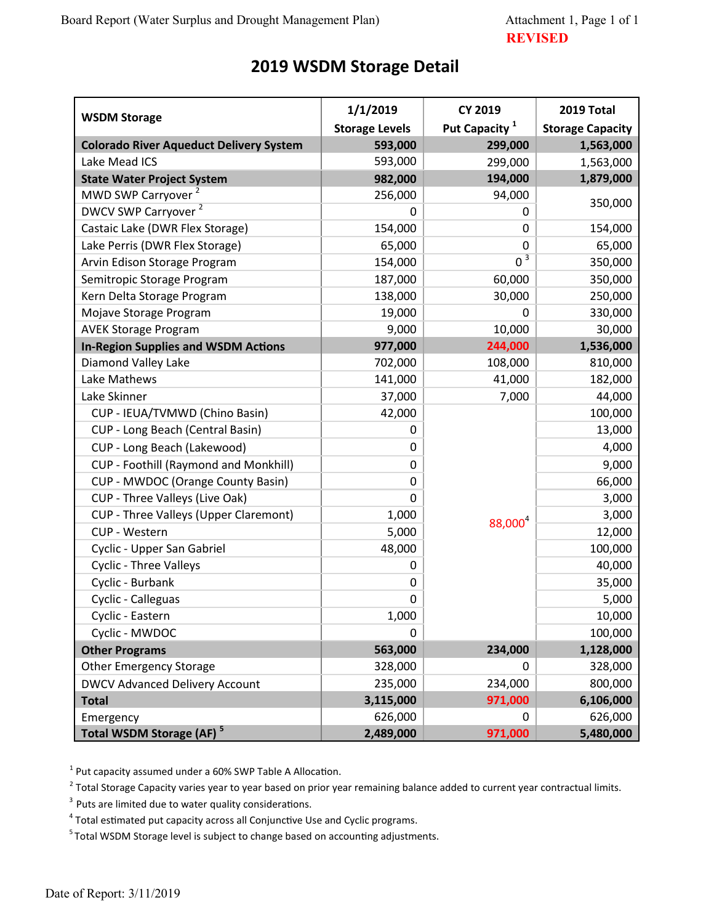# **2019 WSDM Storage Detail**

|                                                | 1/1/2019              | <b>CY 2019</b>            | 2019 Total              |
|------------------------------------------------|-----------------------|---------------------------|-------------------------|
| <b>WSDM Storage</b>                            | <b>Storage Levels</b> | Put Capacity <sup>1</sup> | <b>Storage Capacity</b> |
| <b>Colorado River Aqueduct Delivery System</b> | 593,000               | 299,000                   | 1,563,000               |
| Lake Mead ICS                                  | 593,000               | 299,000                   | 1,563,000               |
| <b>State Water Project System</b>              | 982,000               | 194,000                   | 1,879,000               |
| MWD SWP Carryover <sup>2</sup>                 | 256,000               | 94,000<br>0               | 350,000                 |
| DWCV SWP Carryover <sup>2</sup>                | 0                     |                           |                         |
| Castaic Lake (DWR Flex Storage)                | 154,000               | 0                         | 154,000                 |
| Lake Perris (DWR Flex Storage)                 | 65,000                | 0                         | 65,000                  |
| Arvin Edison Storage Program                   | 154,000               | $\overline{0^3}$          | 350,000                 |
| Semitropic Storage Program                     | 187,000               | 60,000                    | 350,000                 |
| Kern Delta Storage Program                     | 138,000               | 30,000                    | 250,000                 |
| Mojave Storage Program                         | 19,000                | 0                         | 330,000                 |
| <b>AVEK Storage Program</b>                    | 9,000                 | 10,000                    | 30,000                  |
| <b>In-Region Supplies and WSDM Actions</b>     | 977,000               | 244,000                   | 1,536,000               |
| Diamond Valley Lake                            | 702,000               | 108,000                   | 810,000                 |
| Lake Mathews                                   | 141,000               | 41,000                    | 182,000                 |
| Lake Skinner                                   | 37,000                | 7,000                     | 44,000                  |
| CUP - IEUA/TVMWD (Chino Basin)                 | 42,000                | 88,000 <sup>4</sup>       | 100,000                 |
| CUP - Long Beach (Central Basin)               | 0                     |                           | 13,000                  |
| CUP - Long Beach (Lakewood)                    | 0                     |                           | 4,000                   |
| CUP - Foothill (Raymond and Monkhill)          | 0                     |                           | 9,000                   |
| CUP - MWDOC (Orange County Basin)              | 0                     |                           | 66,000                  |
| CUP - Three Valleys (Live Oak)                 | 0                     |                           | 3,000                   |
| CUP - Three Valleys (Upper Claremont)          | 1,000                 |                           | 3,000                   |
| CUP - Western                                  | 5,000                 |                           | 12,000                  |
| Cyclic - Upper San Gabriel                     | 48,000                |                           | 100,000                 |
| <b>Cyclic - Three Valleys</b>                  | 0                     |                           | 40,000                  |
| Cyclic - Burbank                               | 0                     |                           | 35,000                  |
| Cyclic - Calleguas                             | 0                     |                           | 5,000                   |
| Cyclic - Eastern                               | 1,000                 |                           | 10,000                  |
| Cyclic - MWDOC                                 | 0                     |                           | 100,000                 |
| <b>Other Programs</b>                          | 563,000               | 234,000                   | 1,128,000               |
| <b>Other Emergency Storage</b>                 | 328,000               | 0                         | 328,000                 |
| <b>DWCV Advanced Delivery Account</b>          | 235,000               | 234,000                   | 800,000                 |
| <b>Total</b>                                   | 3,115,000             | 971,000                   | 6,106,000               |
| Emergency                                      | 626,000               | 0                         | 626,000                 |
| Total WSDM Storage (AF) <sup>5</sup>           | 2,489,000             | 971,000                   | 5,480,000               |

 $1$  Put capacity assumed under a 60% SWP Table A Allocation.

 $^2$  Total Storage Capacity varies year to year based on prior year remaining balance added to current year contractual limits.

 $3$  Puts are limited due to water quality considerations.

<sup>4</sup> Total estimated put capacity across all Conjunctive Use and Cyclic programs.

<sup>5</sup> Total WSDM Storage level is subject to change based on accounting adjustments.